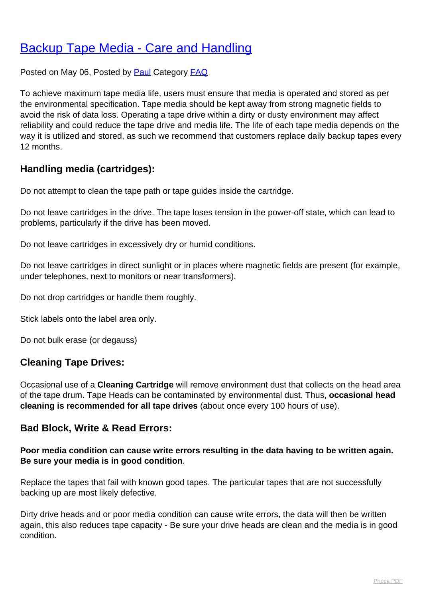# [Backup Tape Media - Care and Handling](http://www.computerdoctor.com.au/news/backup-tape-media-care-and-handling)

Posted on May 06, Posted by [Paul](http://www.computerdoctor.com.au/news/blogger/listings/paul) Category [FAQ](http://www.computerdoctor.com.au/news/categories/frequently-asked-questions)

To achieve maximum tape media life, users must ensure that media is operated and stored as per the environmental specification. Tape media should be kept away from strong magnetic fields to avoid the risk of data loss. Operating a tape drive within a dirty or dusty environment may affect reliability and could reduce the tape drive and media life. The life of each tape media depends on the way it is utilized and stored, as such we recommend that customers replace daily backup tapes every 12 months.

## **Handling media (cartridges):**

Do not attempt to clean the tape path or tape guides inside the cartridge.

Do not leave cartridges in the drive. The tape loses tension in the power-off state, which can lead to problems, particularly if the drive has been moved.

Do not leave cartridges in excessively dry or humid conditions.

Do not leave cartridges in direct sunlight or in places where magnetic fields are present (for example, under telephones, next to monitors or near transformers).

Do not drop cartridges or handle them roughly.

Stick labels onto the label area only.

Do not bulk erase (or degauss)

## **Cleaning Tape Drives:**

Occasional use of a **Cleaning Cartridge** will remove environment dust that collects on the head area of the tape drum. Tape Heads can be contaminated by environmental dust. Thus, **occasional head cleaning is recommended for all tape drives** (about once every 100 hours of use).

## **Bad Block, Write & Read Errors:**

#### **Poor media condition can cause write errors resulting in the data having to be written again. Be sure your media is in good condition**.

Replace the tapes that fail with known good tapes. The particular tapes that are not successfully backing up are most likely defective.

Dirty drive heads and or poor media condition can cause write errors, the data will then be written again, this also reduces tape capacity - Be sure your drive heads are clean and the media is in good condition.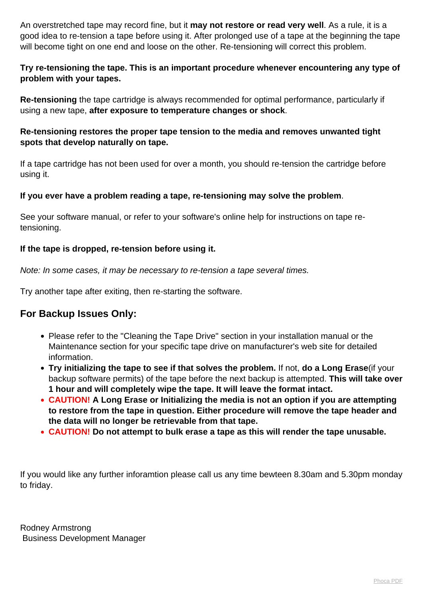An overstretched tape may record fine, but it **may not restore or read very well**. As a rule, it is a good idea to re-tension a tape before using it. After prolonged use of a tape at the beginning the tape will become tight on one end and loose on the other. Re-tensioning will correct this problem.

#### **Try re-tensioning the tape. This is an important procedure whenever encountering any type of problem with your tapes.**

**Re-tensioning** the tape cartridge is always recommended for optimal performance, particularly if using a new tape, **after exposure to temperature changes or shock**.

#### **Re-tensioning restores the proper tape tension to the media and removes unwanted tight spots that develop naturally on tape.**

If a tape cartridge has not been used for over a month, you should re-tension the cartridge before using it.

#### **If you ever have a problem reading a tape, re-tensioning may solve the problem**.

See your software manual, or refer to your software's online help for instructions on tape retensioning.

#### **If the tape is dropped, re-tension before using it.**

Note: In some cases, it may be necessary to re-tension a tape several times.

Try another tape after exiting, then re-starting the software.

## **For Backup Issues Only:**

- Please refer to the "Cleaning the Tape Drive" section in your installation manual or the Maintenance section for your specific tape drive on manufacturer's web site for detailed information.
- **Try initializing the tape to see if that solves the problem.** If not, **do a Long Erase**(if your backup software permits) of the tape before the next backup is attempted. **This will take over 1 hour and will completely wipe the tape. It will leave the format intact.**
- **CAUTION! A Long Erase or Initializing the media is not an option if you are attempting to restore from the tape in question. Either procedure will remove the tape header and the data will no longer be retrievable from that tape.**
- **CAUTION! Do not attempt to bulk erase a tape as this will render the tape unusable.**

If you would like any further inforamtion please call us any time bewteen 8.30am and 5.30pm monday to friday.

Rodney Armstrong Business Development Manager